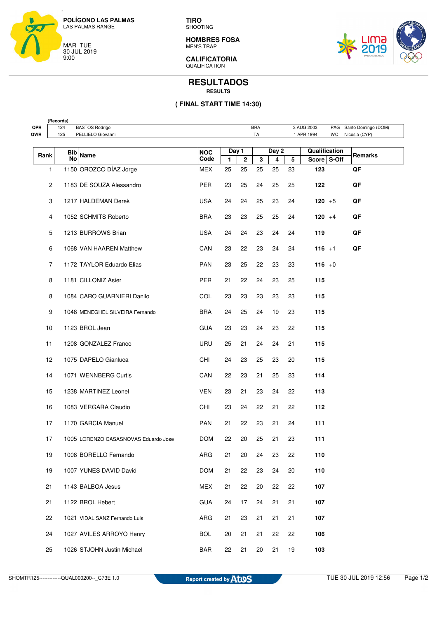

**TIRO** SHOOTING

**HOMBRES FOSA** MEN'S TRAP



**CALIFICATORIA**  QUALIFICATION

## **RESULTADOS RESULTS**

## **( FINAL START TIME 14:30)**

|            | (Records) |            |                                      |            |       |              |            |       |        |               |     |                     |
|------------|-----------|------------|--------------------------------------|------------|-------|--------------|------------|-------|--------|---------------|-----|---------------------|
| QPR<br>QWR |           | 124<br>125 | <b>BASTOS Rodrigo</b>                |            |       |              | <b>BRA</b> |       |        | 3 AUG 2003    | PAG | Santo Domingo (DOM) |
|            |           |            | PELLIELO Giovanni                    |            |       |              | <b>ITA</b> |       |        | 1 APR 1994    | WC  | Nicosia (CYP)       |
|            |           | Bib        |                                      | <b>NOC</b> | Day 1 |              |            | Day 2 |        | Qualification |     |                     |
|            | Rank      | No         | <b>Name</b>                          | Code       | 1     | $\mathbf{2}$ | 3          | 4     | 5      | Score S-Off   |     | Remarks             |
|            | 1         |            | 1150 OROZCO DÍAZ Jorge               | MEX        | 25    | 25           | 25         | 25    | 23     | 123           |     | QF                  |
|            | 2         |            | 1183 DE SOUZA Alessandro             | <b>PER</b> | 23    | 25           | 24         | 25    | 25     | 122           |     | QF                  |
|            | 3         |            | 1217 HALDEMAN Derek                  | <b>USA</b> | 24    | 24           | 25         | 23    | 24     | $120 + 5$     |     | QF                  |
|            | 4         |            | 1052 SCHMITS Roberto                 | BRA        | 23    | 23           | 25         | 25    | 24     | $120 + 4$     |     | QF                  |
|            | 5         |            | 1213 BURROWS Brian                   | <b>USA</b> | 24    | 24           | 23         | 24    | 24     | 119           |     | QF                  |
|            | 6         |            | 1068 VAN HAAREN Matthew              | CAN        | 23    | 22           | 23         | 24    | 24     | $116 + 1$     |     | QF                  |
|            | 7         |            | 1172 TAYLOR Eduardo Elias            | <b>PAN</b> | 23    | 25           | 22         | 23    | 23     | 116 $+0$      |     |                     |
|            | 8         |            | 1181 CILLONIZ Asier                  | PER        | 21    | 22           | 24         | 23    | 25     | 115           |     |                     |
|            | 8         |            | 1084 CARO GUARNIERI Danilo           | COL        | 23    | 23           | 23         | 23    | 23     | 115           |     |                     |
|            | 9         |            | 1048 MENEGHEL SILVEIRA Fernando      | <b>BRA</b> | 24    | 25           | 24         | 19    | 23     | 115           |     |                     |
|            | 10        |            | 1123 BROL Jean                       | <b>GUA</b> | 23    | 23           | 24         | 23    | 22     | 115           |     |                     |
|            | 11        |            | 1208 GONZALEZ Franco                 | URU        | 25    | 21           | 24         | 24    | 21     | 115           |     |                     |
|            | 12        |            | 1075 DAPELO Gianluca                 | CHI        | 24    | 23           | 25         | 23    | 20     | 115           |     |                     |
|            | 14        |            | 1071 WENNBERG Curtis                 | CAN        | 22    | 23           | 21         | 25    | 23     | 114           |     |                     |
|            | 15        |            | 1238 MARTINEZ Leonel                 | <b>VEN</b> | 23    | 21           | 23         | 24    | 22     | 113           |     |                     |
|            | 16        |            | 1083 VERGARA Claudio                 | CHI        | 23    | 24           | 22         | 21    | 22     | 112           |     |                     |
|            | 17        |            | 1170 GARCIA Manuel                   | <b>PAN</b> | 21    | 22           | 23         | 21    | 24     | 111           |     |                     |
|            | 17        |            | 1005 LORENZO CASASNOVAS Eduardo Jose | <b>DOM</b> | 22    | 20           | 25         | 21    | 23     | 111           |     |                     |
|            | 19        |            | 1008 BORELLO Fernando                | ARG        | 21    | 20           | 24         | 23    | 22     | 110           |     |                     |
|            | 19        |            | 1007 YUNES DAVID David               | <b>DOM</b> | 21    | 22           | 23         | 24    | $20\,$ | 110           |     |                     |
|            | 21        |            | 1143 BALBOA Jesus                    | MEX        | 21    | 22           | 20         | 22    | 22     | 107           |     |                     |
|            | 21        |            | 1122 BROL Hebert                     | <b>GUA</b> | 24    | 17           | 24         | 21    | 21     | 107           |     |                     |
|            | 22        |            | 1021 VIDAL SANZ Fernando Luis        | ARG        | 21    | 23           | 21         | 21    | 21     | 107           |     |                     |
|            | 24        |            | 1027 AVILES ARROYO Henry             | <b>BOL</b> | 20    | 21           | 21         | 22    | 22     | 106           |     |                     |
|            | 25        |            | 1026 STJOHN Justin Michael           | <b>BAR</b> | 22    | 21           | 20         | 21    | 19     | 103           |     |                     |